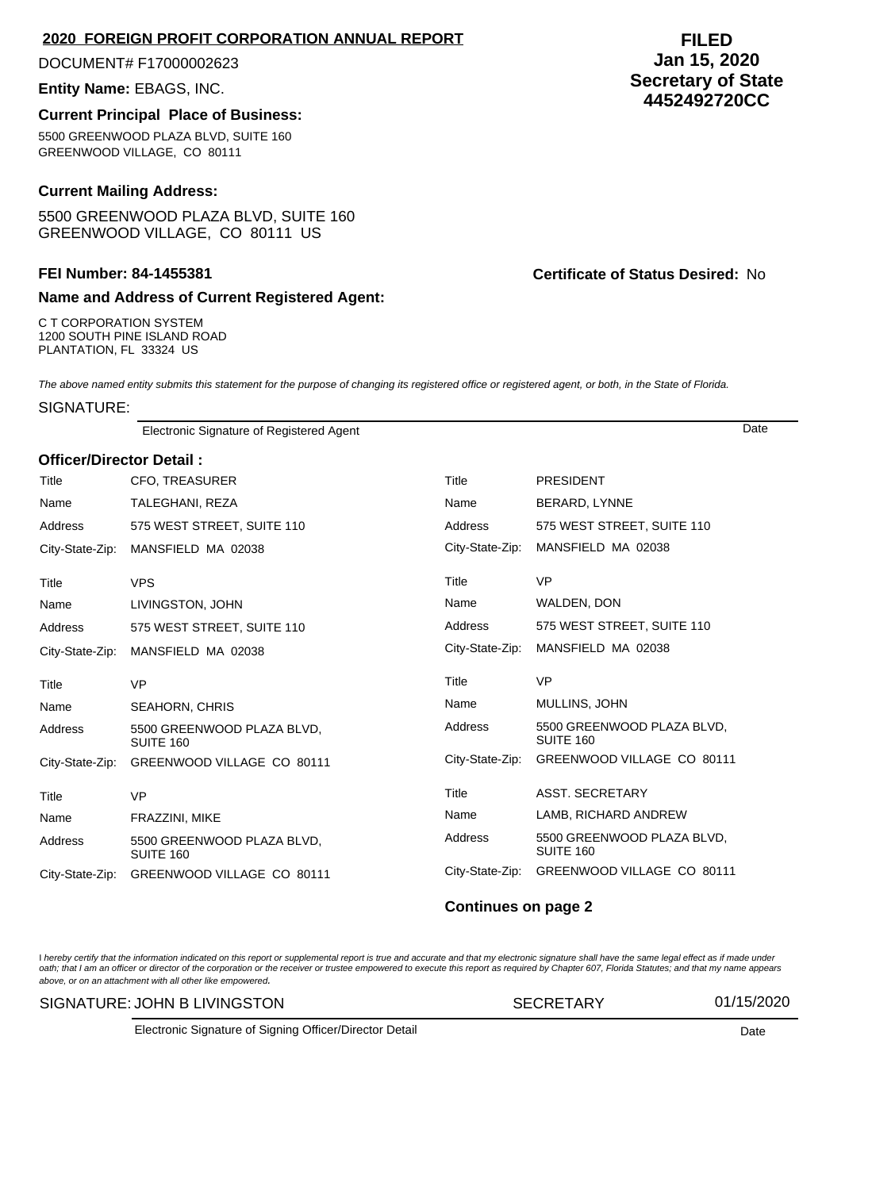## **2020 FOREIGN PROFIT CORPORATION ANNUAL REPORT**

DOCUMENT# F17000002623

## **Entity Name:** EBAGS, INC.

## **Current Principal Place of Business:**

5500 GREENWOOD PLAZA BLVD, SUITE 160 GREENWOOD VILLAGE, CO 80111

## **Current Mailing Address:**

5500 GREENWOOD PLAZA BLVD, SUITE 160 GREENWOOD VILLAGE, CO 80111 US

# **Name and Address of Current Registered Agent:**

C T CORPORATION SYSTEM 1200 SOUTH PINE ISLAND ROAD PLANTATION, FL 33324 US

The above named entity submits this statement for the purpose of changing its registered office or registered agent, or both, in the State of Florida.

SIGNATURE:

Electronic Signature of Registered Agent Date

## **Officer/Director Detail :**

| Title           | <b>CFO, TREASURER</b>                   | Title           | <b>PRESIDENT</b>                        |
|-----------------|-----------------------------------------|-----------------|-----------------------------------------|
| Name            | TALEGHANI, REZA                         | Name            | BERARD, LYNNE                           |
| Address         | 575 WEST STREET, SUITE 110              | Address         | 575 WEST STREET, SUITE 110              |
| City-State-Zip: | MANSFIELD MA 02038                      | City-State-Zip: | MANSFIELD MA 02038                      |
| Title           | <b>VPS</b>                              | Title           | <b>VP</b>                               |
| Name            | LIVINGSTON, JOHN                        | Name            | WALDEN, DON                             |
| Address         | 575 WEST STREET, SUITE 110              | Address         | 575 WEST STREET, SUITE 110              |
| City-State-Zip: | MANSFIELD MA 02038                      | City-State-Zip: | MANSFIELD MA 02038                      |
| Title           | <b>VP</b>                               | Title           | <b>VP</b>                               |
| Name            | <b>SEAHORN, CHRIS</b>                   | Name            | MULLINS, JOHN                           |
| Address         | 5500 GREENWOOD PLAZA BLVD,<br>SUITE 160 | Address         | 5500 GREENWOOD PLAZA BLVD,<br>SUITE 160 |
| City-State-Zip: | GREENWOOD VILLAGE CO 80111              | City-State-Zip: | GREENWOOD VILLAGE CO 80111              |
| Title           | <b>VP</b>                               | Title           | <b>ASST. SECRETARY</b>                  |
| Name            | FRAZZINI, MIKE                          | Name            | LAMB, RICHARD ANDREW                    |
| Address         | 5500 GREENWOOD PLAZA BLVD,<br>SUITE 160 | Address         | 5500 GREENWOOD PLAZA BLVD,<br>SUITE 160 |
| City-State-Zip: | GREENWOOD VILLAGE CO 80111              | City-State-Zip: | GREENWOOD VILLAGE CO 80111              |

#### **Continues on page 2**

l hereby certify that the information indicated on this report or supplemental report is true and accurate and that my electronic signature shall have the same legal effect as if made under<br>oath; that I am an officer or di above, or on an attachment with all other like empowered.

SIGNATURE: JOHN B LIVINGSTON SECRETARY 01/15/2020

Electronic Signature of Signing Officer/Director Detail **Date Date** Date **Date Date** 

# **FILED Jan 15, 2020 Secretary of State 4452492720CC**

**FEI Number: 84-1455381 Certificate of Status Desired:** No